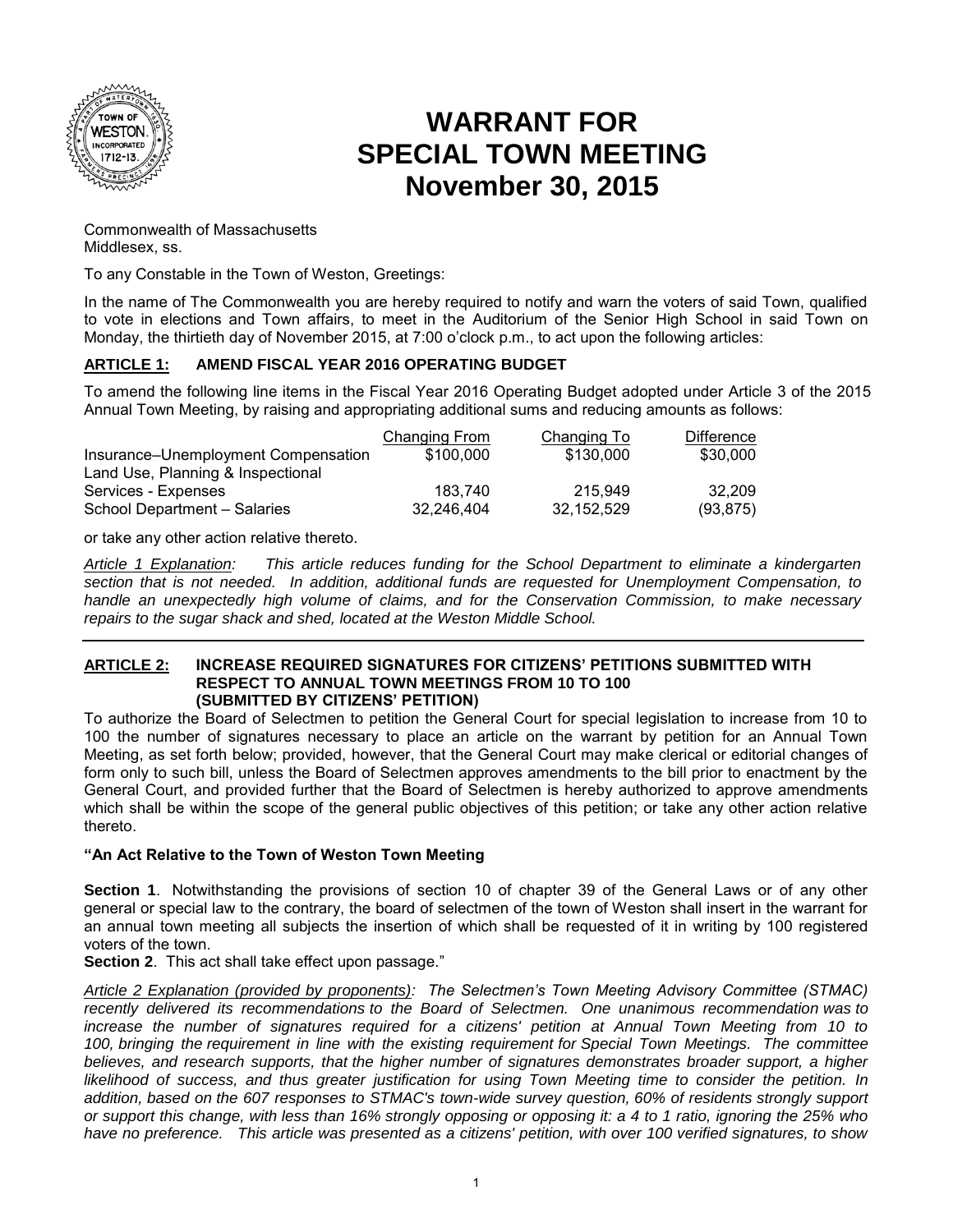

# **WARRANT FOR SPECIAL TOWN MEETING November 30, 2015**

Commonwealth of Massachusetts Middlesex, ss.

To any Constable in the Town of Weston, Greetings:

In the name of The Commonwealth you are hereby required to notify and warn the voters of said Town, qualified to vote in elections and Town affairs, to meet in the Auditorium of the Senior High School in said Town on Monday, the thirtieth day of November 2015, at 7:00 o'clock p.m., to act upon the following articles:

## **ARTICLE 1: AMEND FISCAL YEAR 2016 OPERATING BUDGET**

To amend the following line items in the Fiscal Year 2016 Operating Budget adopted under Article 3 of the 2015 Annual Town Meeting, by raising and appropriating additional sums and reducing amounts as follows:

| Changing From | Changing To | <b>Difference</b> |
|---------------|-------------|-------------------|
| \$100,000     | \$130,000   | \$30,000          |
|               |             |                   |
| 183.740       | 215.949     | 32.209            |
| 32.246.404    | 32.152.529  | (93, 875)         |
|               |             |                   |

or take any other action relative thereto.

*Article 1 Explanation: This article reduces funding for the School Department to eliminate a kindergarten section that is not needed. In addition, additional funds are requested for Unemployment Compensation, to handle an unexpectedly high volume of claims, and for the Conservation Commission, to make necessary repairs to the sugar shack and shed, located at the Weston Middle School.* 

#### **ARTICLE 2: INCREASE REQUIRED SIGNATURES FOR CITIZENS' PETITIONS SUBMITTED WITH RESPECT TO ANNUAL TOWN MEETINGS FROM 10 TO 100 (SUBMITTED BY CITIZENS' PETITION)**

To authorize the Board of Selectmen to petition the General Court for special legislation to increase from 10 to 100 the number of signatures necessary to place an article on the warrant by petition for an Annual Town Meeting, as set forth below; provided, however, that the General Court may make clerical or editorial changes of form only to such bill, unless the Board of Selectmen approves amendments to the bill prior to enactment by the General Court, and provided further that the Board of Selectmen is hereby authorized to approve amendments which shall be within the scope of the general public objectives of this petition; or take any other action relative thereto.

## **"An Act Relative to the Town of Weston Town Meeting**

**Section 1**. Notwithstanding the provisions of section 10 of chapter 39 of the General Laws or of any other general or special law to the contrary, the board of selectmen of the town of Weston shall insert in the warrant for an annual town meeting all subjects the insertion of which shall be requested of it in writing by 100 registered voters of the town.

**Section 2**. This act shall take effect upon passage."

*Article 2 Explanation (provided by proponents): The Selectmen's Town Meeting Advisory Committee (STMAC) recently delivered its recommendations to the Board of Selectmen. One unanimous recommendation was to*  increase the number of signatures required for a citizens' petition at Annual Town Meeting from 10 to *100, bringing the requirement in line with the existing requirement for Special Town Meetings. The committee*  believes, and research supports, that the higher number of signatures demonstrates broader support, a higher *likelihood of success, and thus greater justification for using Town Meeting time to consider the petition. In addition, based on the 607 responses to STMAC's town-wide survey question, 60% of residents strongly support or support this change, with less than 16% strongly opposing or opposing it: a 4 to 1 ratio, ignoring the 25% who have no preference. This article was presented as a citizens' petition, with over 100 verified signatures, to show*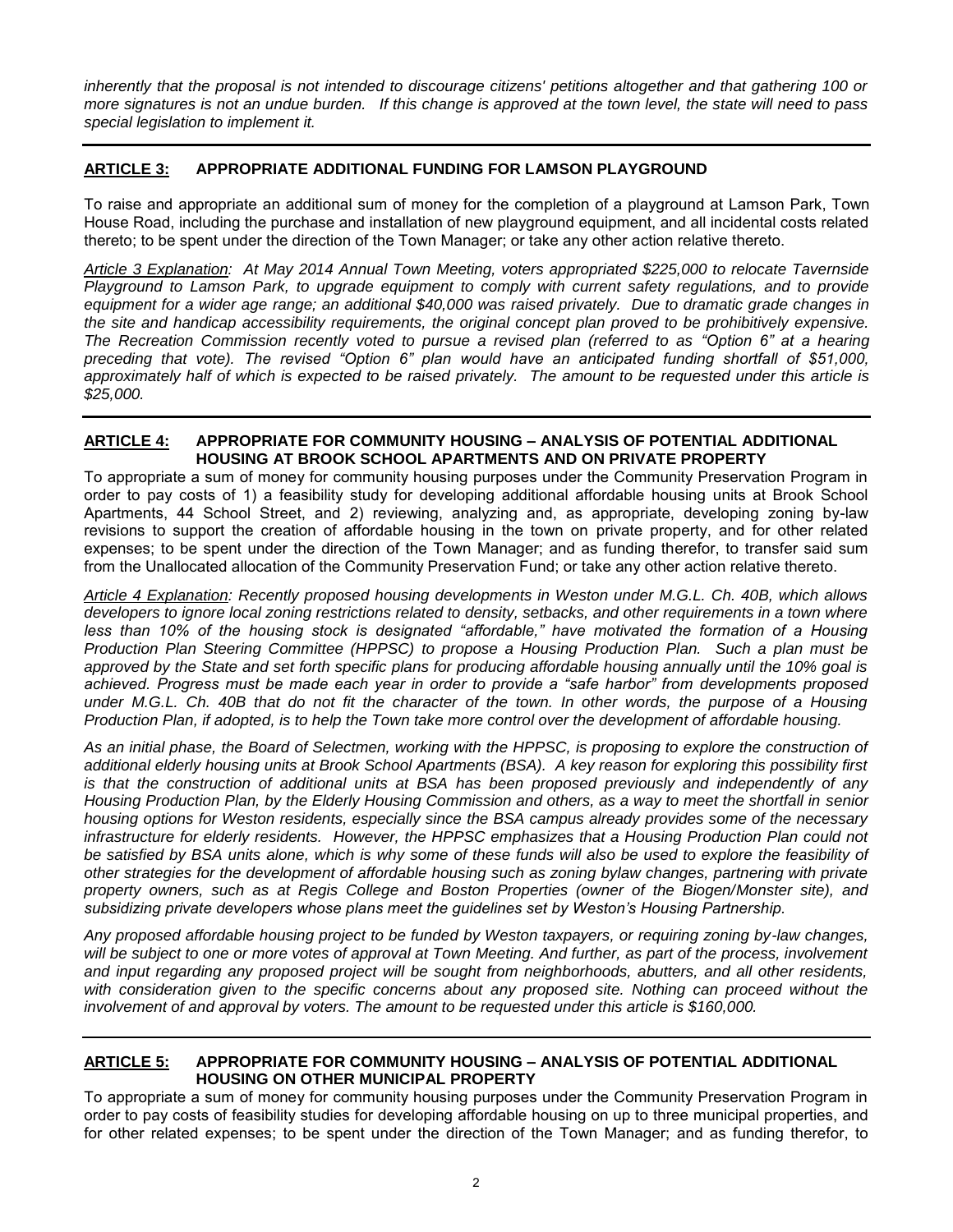*inherently that the proposal is not intended to discourage citizens' petitions altogether and that gathering 100 or more signatures is not an undue burden. If this change is approved at the town level, the state will need to pass special legislation to implement it.*

## **ARTICLE 3: APPROPRIATE ADDITIONAL FUNDING FOR LAMSON PLAYGROUND**

To raise and appropriate an additional sum of money for the completion of a playground at Lamson Park, Town House Road, including the purchase and installation of new playground equipment, and all incidental costs related thereto; to be spent under the direction of the Town Manager; or take any other action relative thereto.

*Article 3 Explanation: At May 2014 Annual Town Meeting, voters appropriated \$225,000 to relocate Tavernside Playground to Lamson Park, to upgrade equipment to comply with current safety regulations, and to provide equipment for a wider age range; an additional \$40,000 was raised privately. Due to dramatic grade changes in*  the site and handicap accessibility requirements, the original concept plan proved to be prohibitively expensive. *The Recreation Commission recently voted to pursue a revised plan (referred to as "Option 6" at a hearing preceding that vote). The revised "Option 6" plan would have an anticipated funding shortfall of \$51,000, approximately half of which is expected to be raised privately. The amount to be requested under this article is \$25,000.* 

#### **ARTICLE 4: APPROPRIATE FOR COMMUNITY HOUSING – ANALYSIS OF POTENTIAL ADDITIONAL HOUSING AT BROOK SCHOOL APARTMENTS AND ON PRIVATE PROPERTY**

To appropriate a sum of money for community housing purposes under the Community Preservation Program in order to pay costs of 1) a feasibility study for developing additional affordable housing units at Brook School Apartments, 44 School Street, and 2) reviewing, analyzing and, as appropriate, developing zoning by-law revisions to support the creation of affordable housing in the town on private property, and for other related expenses; to be spent under the direction of the Town Manager; and as funding therefor, to transfer said sum from the Unallocated allocation of the Community Preservation Fund; or take any other action relative thereto.

*Article 4 Explanation: Recently proposed housing developments in Weston under M.G.L. Ch. 40B, which allows developers to ignore local zoning restrictions related to density, setbacks, and other requirements in a town where less than 10% of the housing stock is designated "affordable," have motivated the formation of a Housing Production Plan Steering Committee (HPPSC) to propose a Housing Production Plan. Such a plan must be approved by the State and set forth specific plans for producing affordable housing annually until the 10% goal is achieved. Progress must be made each year in order to provide a "safe harbor" from developments proposed under M.G.L. Ch. 40B that do not fit the character of the town. In other words, the purpose of a Housing Production Plan, if adopted, is to help the Town take more control over the development of affordable housing.* 

*As an initial phase, the Board of Selectmen, working with the HPPSC, is proposing to explore the construction of additional elderly housing units at Brook School Apartments (BSA). A key reason for exploring this possibility first is that the construction of additional units at BSA has been proposed previously and independently of any Housing Production Plan, by the Elderly Housing Commission and others, as a way to meet the shortfall in senior housing options for Weston residents, especially since the BSA campus already provides some of the necessary infrastructure for elderly residents. However, the HPPSC emphasizes that a Housing Production Plan could not*  be satisfied by BSA units alone, which is why some of these funds will also be used to explore the feasibility of *other strategies for the development of affordable housing such as zoning bylaw changes, partnering with private property owners, such as at Regis College and Boston Properties (owner of the Biogen/Monster site), and subsidizing private developers whose plans meet the guidelines set by Weston's Housing Partnership.* 

*Any proposed affordable housing project to be funded by Weston taxpayers, or requiring zoning by-law changes,*  will be subject to one or more votes of approval at Town Meeting. And further, as part of the process, involvement *and input regarding any proposed project will be sought from neighborhoods, abutters, and all other residents,*  with consideration given to the specific concerns about any proposed site. Nothing can proceed without the involvement of and approval by voters. The amount to be requested under this article is \$160,000.

#### **ARTICLE 5: APPROPRIATE FOR COMMUNITY HOUSING – ANALYSIS OF POTENTIAL ADDITIONAL HOUSING ON OTHER MUNICIPAL PROPERTY**

To appropriate a sum of money for community housing purposes under the Community Preservation Program in order to pay costs of feasibility studies for developing affordable housing on up to three municipal properties, and for other related expenses; to be spent under the direction of the Town Manager; and as funding therefor, to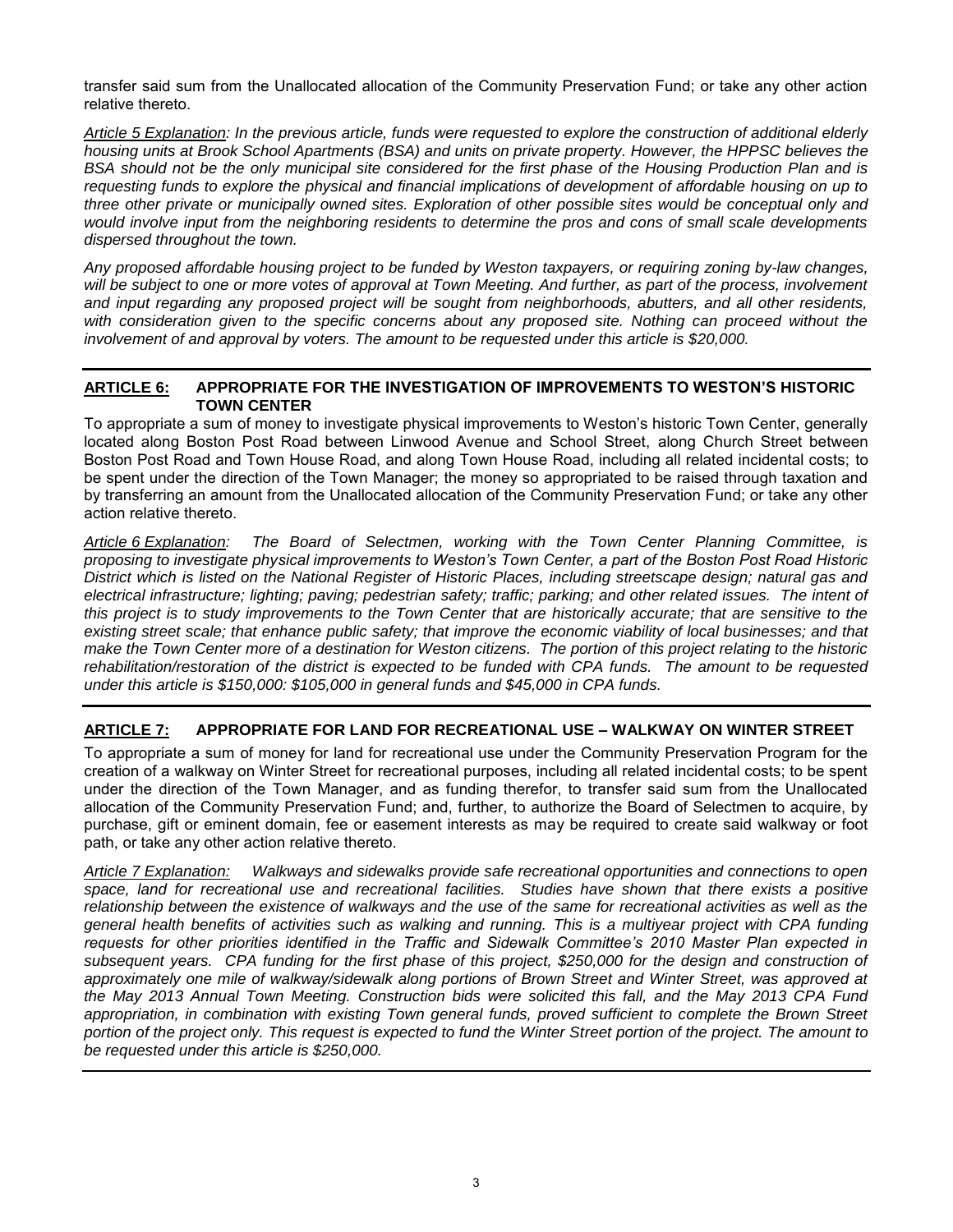transfer said sum from the Unallocated allocation of the Community Preservation Fund; or take any other action relative thereto.

*Article 5 Explanation: In the previous article, funds were requested to explore the construction of additional elderly housing units at Brook School Apartments (BSA) and units on private property. However, the HPPSC believes the BSA should not be the only municipal site considered for the first phase of the Housing Production Plan and is requesting funds to explore the physical and financial implications of development of affordable housing on up to three other private or municipally owned sites. Exploration of other possible sites would be conceptual only and would involve input from the neighboring residents to determine the pros and cons of small scale developments dispersed throughout the town.* 

*Any proposed affordable housing project to be funded by Weston taxpayers, or requiring zoning by-law changes,*  will be subject to one or more votes of approval at Town Meeting. And further, as part of the process, involvement *and input regarding any proposed project will be sought from neighborhoods, abutters, and all other residents,*  with consideration given to the specific concerns about any proposed site. Nothing can proceed without the involvement of and approval by voters. The amount to be requested under this article is \$20,000.

#### **ARTICLE 6: APPROPRIATE FOR THE INVESTIGATION OF IMPROVEMENTS TO WESTON'S HISTORIC TOWN CENTER**

To appropriate a sum of money to investigate physical improvements to Weston's historic Town Center, generally located along Boston Post Road between Linwood Avenue and School Street, along Church Street between Boston Post Road and Town House Road, and along Town House Road, including all related incidental costs; to be spent under the direction of the Town Manager; the money so appropriated to be raised through taxation and by transferring an amount from the Unallocated allocation of the Community Preservation Fund; or take any other action relative thereto.

*Article 6 Explanation: The Board of Selectmen, working with the Town Center Planning Committee, is proposing to investigate physical improvements to Weston's Town Center, a part of the Boston Post Road Historic District which is listed on the National Register of Historic Places, including streetscape design; natural gas and electrical infrastructure; lighting; paving; pedestrian safety; traffic; parking; and other related issues. The intent of*  this project is to study improvements to the Town Center that are historically accurate; that are sensitive to the existing street scale; that enhance public safety; that improve the economic viability of local businesses; and that *make the Town Center more of a destination for Weston citizens. The portion of this project relating to the historic rehabilitation/restoration of the district is expected to be funded with CPA funds. The amount to be requested under this article is \$150,000: \$105,000 in general funds and \$45,000 in CPA funds.* 

# **ARTICLE 7: APPROPRIATE FOR LAND FOR RECREATIONAL USE – WALKWAY ON WINTER STREET**

To appropriate a sum of money for land for recreational use under the Community Preservation Program for the creation of a walkway on Winter Street for recreational purposes, including all related incidental costs; to be spent under the direction of the Town Manager, and as funding therefor, to transfer said sum from the Unallocated allocation of the Community Preservation Fund; and, further, to authorize the Board of Selectmen to acquire, by purchase, gift or eminent domain, fee or easement interests as may be required to create said walkway or foot path, or take any other action relative thereto.

*Article 7 Explanation: Walkways and sidewalks provide safe recreational opportunities and connections to open space, land for recreational use and recreational facilities. Studies have shown that there exists a positive relationship between the existence of walkways and the use of the same for recreational activities as well as the general health benefits of activities such as walking and running. This is a multiyear project with CPA funding requests for other priorities identified in the Traffic and Sidewalk Committee's 2010 Master Plan expected in*  subsequent years. CPA funding for the first phase of this project, \$250,000 for the design and construction of *approximately one mile of walkway/sidewalk along portions of Brown Street and Winter Street, was approved at the May 2013 Annual Town Meeting. Construction bids were solicited this fall, and the May 2013 CPA Fund appropriation, in combination with existing Town general funds, proved sufficient to complete the Brown Street portion of the project only. This request is expected to fund the Winter Street portion of the project. The amount to be requested under this article is \$250,000.*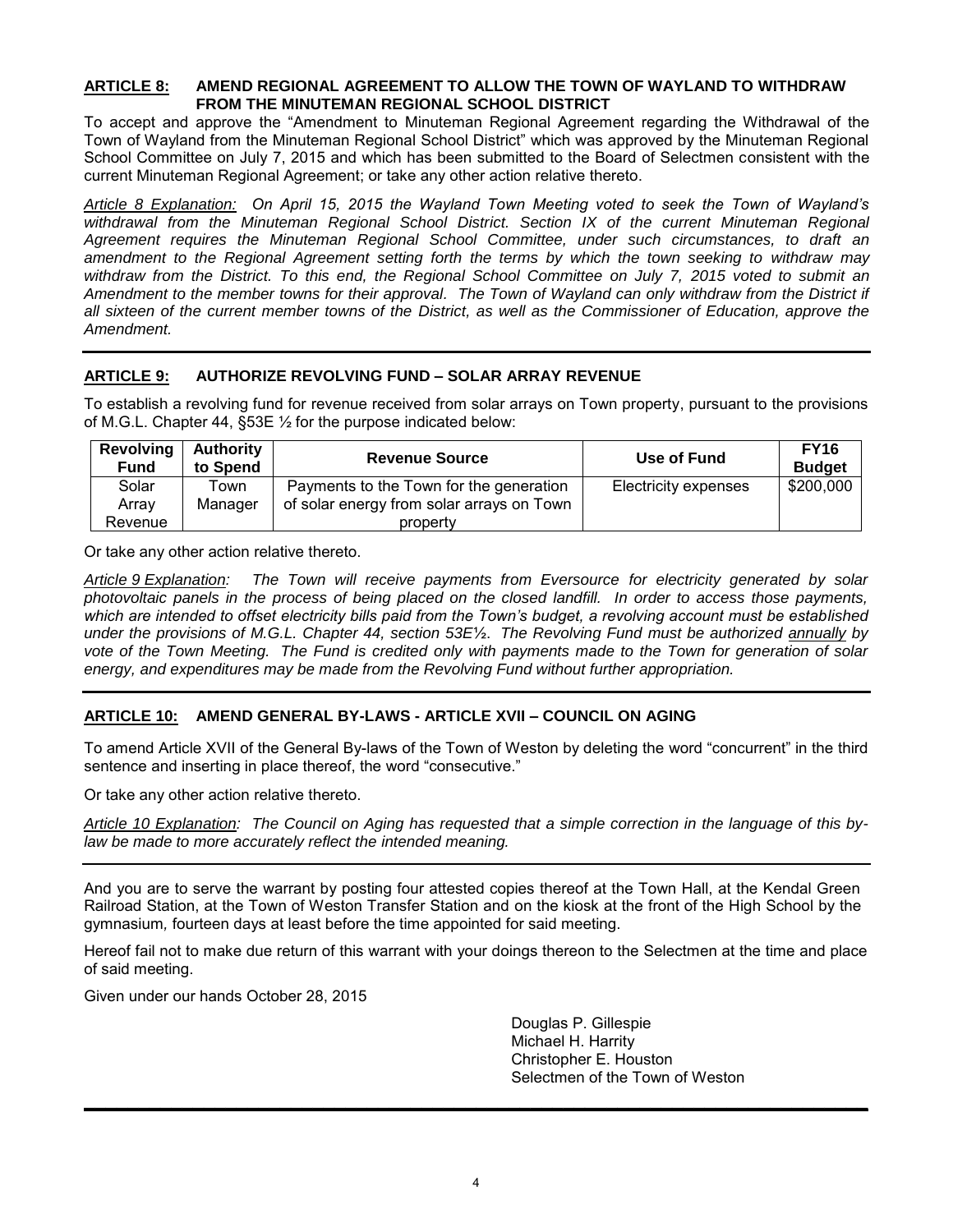#### **ARTICLE 8: AMEND REGIONAL AGREEMENT TO ALLOW THE TOWN OF WAYLAND TO WITHDRAW FROM THE MINUTEMAN REGIONAL SCHOOL DISTRICT**

To accept and approve the "Amendment to Minuteman Regional Agreement regarding the Withdrawal of the Town of Wayland from the Minuteman Regional School District" which was approved by the Minuteman Regional School Committee on July 7, 2015 and which has been submitted to the Board of Selectmen consistent with the current Minuteman Regional Agreement; or take any other action relative thereto.

*Article 8 Explanation: On April 15, 2015 the Wayland Town Meeting voted to seek the Town of Wayland's*  withdrawal from the Minuteman Regional School District. Section IX of the current Minuteman Regional *Agreement requires the Minuteman Regional School Committee, under such circumstances, to draft an amendment to the Regional Agreement setting forth the terms by which the town seeking to withdraw may withdraw from the District. To this end, the Regional School Committee on July 7, 2015 voted to submit an Amendment to the member towns for their approval. The Town of Wayland can only withdraw from the District if all sixteen of the current member towns of the District, as well as the Commissioner of Education, approve the Amendment.* 

# **ARTICLE 9: AUTHORIZE REVOLVING FUND – SOLAR ARRAY REVENUE**

To establish a revolving fund for revenue received from solar arrays on Town property, pursuant to the provisions of M.G.L. Chapter 44, §53E ½ for the purpose indicated below:

| <b>Revolving</b><br>Fund | <b>Authority</b><br>to Spend | <b>Revenue Source</b>                     | Use of Fund          | <b>FY16</b><br><b>Budget</b> |
|--------------------------|------------------------------|-------------------------------------------|----------------------|------------------------------|
| Solar                    | ⊺own                         | Payments to the Town for the generation   | Electricity expenses | \$200,000                    |
| Array                    | Manager                      | of solar energy from solar arrays on Town |                      |                              |
| Revenue                  |                              | property                                  |                      |                              |

Or take any other action relative thereto.

*Article 9 Explanation: The Town will receive payments from Eversource for electricity generated by solar photovoltaic panels in the process of being placed on the closed landfill. In order to access those payments,*  which are intended to offset electricity bills paid from the Town's budget, a revolving account must be established *under the provisions of M.G.L. Chapter 44, section 53E*½. *The Revolving Fund must be authorized annually by vote of the Town Meeting. The Fund is credited only with payments made to the Town for generation of solar energy, and expenditures may be made from the Revolving Fund without further appropriation.* 

# **ARTICLE 10: AMEND GENERAL BY-LAWS - ARTICLE XVII – COUNCIL ON AGING**

To amend Article XVII of the General By-laws of the Town of Weston by deleting the word "concurrent" in the third sentence and inserting in place thereof, the word "consecutive."

Or take any other action relative thereto.

*Article 10 Explanation: The Council on Aging has requested that a simple correction in the language of this bylaw be made to more accurately reflect the intended meaning.* 

And you are to serve the warrant by posting four attested copies thereof at the Town Hall, at the Kendal Green Railroad Station, at the Town of Weston Transfer Station and on the kiosk at the front of the High School by the gymnasium*,* fourteen days at least before the time appointed for said meeting.

Hereof fail not to make due return of this warrant with your doings thereon to the Selectmen at the time and place of said meeting.

Given under our hands October 28, 2015

 Douglas P. Gillespie Michael H. Harrity Christopher E. Houston Selectmen of the Town of Weston

**\_\_\_\_\_\_\_\_\_\_\_\_\_\_\_\_\_\_\_\_\_\_\_\_\_\_\_\_\_\_\_\_\_\_\_\_\_\_\_\_\_\_\_\_\_\_\_\_\_\_\_\_\_\_\_\_\_\_\_\_\_\_\_\_\_\_\_\_\_\_\_\_**